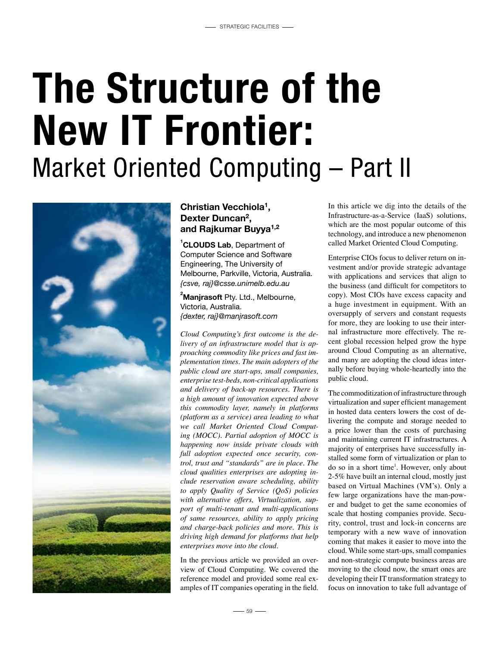## The Structure of the New IT Frontier: Market Oriented Computing – Part II



### **Christian Vecchiola1, Dexter Duncan2, and Rajkumar Buyya1,2**

**1 CLOUDS Lab**, Department of Computer Science and Software Engineering, The University of Melbourne, Parkville, Victoria, Australia. *{csve, raj}@csse.unimelb.edu.au*

#### **2 Manjrasoft** Pty. Ltd., Melbourne, Victoria, Australia. *{dexter, raj}@manjrasoft.com*

*Cloud Computing's first outcome is the delivery of an infrastructure model that is approaching commodity like prices and fast implementation times. The main adopters of the public cloud are start-ups, small companies, enterprise test-beds, non-critical applications and delivery of back-up resources. There is a high amount of innovation expected above this commodity layer, namely in platforms (platform as a service) area leading to what we call Market Oriented Cloud Computing (MOCC). Partial adoption of MOCC is happening now inside private clouds with full adoption expected once security, control, trust and "standards" are in place. The cloud qualities enterprises are adopting include reservation aware scheduling, ability to apply Quality of Service (QoS) policies with alternative offers, Virtualization, support of multi-tenant and multi-applications of same resources, ability to apply pricing and charge-back policies and more. This is driving high demand for platforms that help enterprises move into the cloud.*

In the previous article we provided an overview of Cloud Computing. We covered the reference model and provided some real examples of IT companies operating in the field.

In this article we dig into the details of the Infrastructure-as-a-Service (IaaS) solutions, which are the most popular outcome of this technology, and introduce a new phenomenon called Market Oriented Cloud Computing.

Enterprise CIOs focus to deliver return on investment and/or provide strategic advantage with applications and services that align to the business (and difficult for competitors to copy). Most CIOs have excess capacity and a huge investment in equipment. With an oversupply of servers and constant requests for more, they are looking to use their internal infrastructure more effectively. The recent global recession helped grow the hype around Cloud Computing as an alternative, and many are adopting the cloud ideas internally before buying whole-heartedly into the public cloud.

The commoditization of infrastructure through virtualization and super efficient management in hosted data centers lowers the cost of delivering the compute and storage needed to a price lower than the costs of purchasing and maintaining current IT infrastructures. A majority of enterprises have successfully installed some form of virtualization or plan to do so in a short time<sup>1</sup>. However, only about 2-5% have built an internal cloud, mostly just based on Virtual Machines (VM's). Only a few large organizations have the man-power and budget to get the same economies of scale that hosting companies provide. Security, control, trust and lock-in concerns are temporary with a new wave of innovation coming that makes it easier to move into the cloud. While some start-ups, small companies and non-strategic compute business areas are moving to the cloud now, the smart ones are developing their IT transformation strategy to focus on innovation to take full advantage of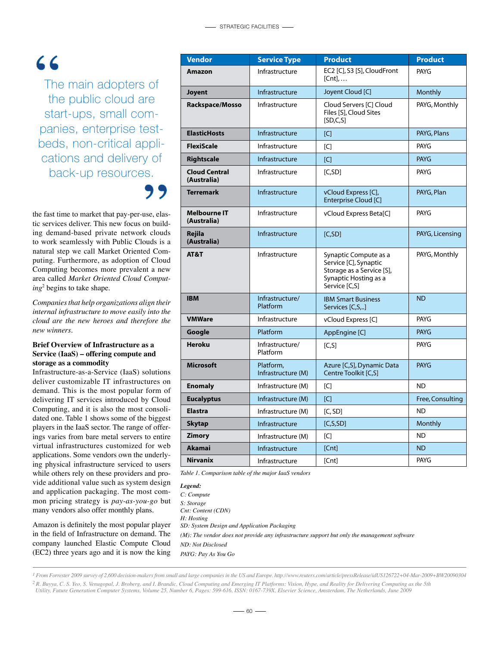## $66$

The main adopters of the public cloud are start-ups, small companies, enterprise testbeds, non-critical applications and delivery of back-up resources.

the fast time to market that pay-per-use, elastic services deliver. This new focus on building demand-based private network clouds to work seamlessly with Public Clouds is a natural step we call Market Oriented Computing. Furthermore, as adoption of Cloud Computing becomes more prevalent a new area called *Market Oriented Cloud Computing*<sup>2</sup> begins to take shape.

*Companies that help organizations align their internal infrastructure to move easily into the cloud are the new heroes and therefore the new winners.*

#### **Brief Overview of Infrastructure as a Service (IaaS) – offering compute and storage as a commodity**

Infrastructure-as-a-Service (IaaS) solutions deliver customizable IT infrastructures on demand. This is the most popular form of delivering IT services introduced by Cloud Computing, and it is also the most consolidated one. Table 1 shows some of the biggest players in the IaaS sector. The range of offerings varies from bare metal servers to entire virtual infrastructures customized for web applications. Some vendors own the underlying physical infrastructure serviced to users while others rely on these providers and provide additional value such as system design and application packaging. The most common pricing strategy is *pay-as-you-go* but many vendors also offer monthly plans.

Amazon is definitely the most popular player in the field of Infrastructure on demand. The company launched Elastic Compute Cloud (EC2) three years ago and it is now the king

| <b>Vendor</b>                       | <b>Service Type</b>             | <b>Product</b>                                                                                                        | <b>Product</b>   |
|-------------------------------------|---------------------------------|-----------------------------------------------------------------------------------------------------------------------|------------------|
| Amazon                              | Infrastructure                  | EC2 [C], S3 [S], CloudFront<br>$[Cnt], \ldots$                                                                        | <b>PAYG</b>      |
| <b>Joyent</b>                       | Infrastructure                  | Joyent Cloud [C]                                                                                                      | Monthly          |
| Rackspace/Mosso                     | Infrastructure                  | Cloud Servers [C] Cloud<br>Files [S], Cloud Sites<br>[SD, C, S]                                                       | PAYG, Monthly    |
| <b>ElasticHosts</b>                 | Infrastructure                  | [C]                                                                                                                   | PAYG, Plans      |
| <b>FlexiScale</b>                   | Infrastructure                  | C                                                                                                                     | <b>PAYG</b>      |
| Rightscale                          | Infrastructure                  | [C]                                                                                                                   | <b>PAYG</b>      |
| <b>Cloud Central</b><br>(Australia) | Infrastructure                  | [C, SD]                                                                                                               | <b>PAYG</b>      |
| <b>Terremark</b>                    | Infrastructure                  | vCloud Express [C],<br>Enterprise Cloud [C]                                                                           | PAYG, Plan       |
| <b>Melbourne IT</b><br>(Australia)  | Infrastructure                  | vCloud Express Beta[C]                                                                                                | <b>PAYG</b>      |
| Rejila<br>(Australia)               | Infrastructure                  | [C, SD]                                                                                                               | PAYG, Licensing  |
| AT&T                                | Infrastructure                  | Synaptic Compute as a<br>Service [C], Synaptic<br>Storage as a Service [S],<br>Synaptic Hosting as a<br>Service [C,S] | PAYG, Monthly    |
| <b>IBM</b>                          | Infrastructure/<br>Platform     | <b>IBM Smart Business</b><br>Services [C,S,]                                                                          | <b>ND</b>        |
| <b>VMWare</b>                       | Infrastructure                  | vCloud Express [C]                                                                                                    | <b>PAYG</b>      |
| Google                              | Platform                        | AppEngine [C]                                                                                                         | <b>PAYG</b>      |
| <b>Heroku</b>                       | Infrastructure/<br>Platform     | [C, S]                                                                                                                | <b>PAYG</b>      |
| <b>Microsoft</b>                    | Platform,<br>Infrastructure (M) | Azure [C,S], Dynamic Data<br>Centre Toolkit [C,S]                                                                     | <b>PAYG</b>      |
| <b>Enomaly</b>                      | Infrastructure (M)              | [C]                                                                                                                   | ND.              |
| <b>Eucalyptus</b>                   | Infrastructure (M)              | [C]                                                                                                                   | Free, Consulting |
| <b>Elastra</b>                      | Infrastructure (M)              | [C, SD]                                                                                                               | <b>ND</b>        |
| <b>Skytap</b>                       | Infrastructure                  | [C, S, SD]                                                                                                            | Monthly          |
| <b>Zimory</b>                       | Infrastructure (M)              | [C]                                                                                                                   | <b>ND</b>        |
| <b>Akamai</b>                       | Infrastructure                  | [Cnt]                                                                                                                 | <b>ND</b>        |
| <b>Nirvanix</b>                     | Infrastructure                  | [Cnt]                                                                                                                 | PAYG             |

*Table 1. Comparison table of the major IaaS vendors*

| Legend:                                                                                         |
|-------------------------------------------------------------------------------------------------|
| C: Compute                                                                                      |
| S: Storage                                                                                      |
| Cnt: Content (CDN)                                                                              |
| H: Hosting                                                                                      |
| SD: System Design and Application Packaging                                                     |
| $(M)$ : The vendor does not provide any infrastructure support but only the management software |
| ND: Not Disclosed                                                                               |
| PAYG: Pay As You Go                                                                             |
|                                                                                                 |

*<sup>1</sup> From Forrester 2009 survey of 2,600 decision-makers from small and large companies in the US and Europe. http://www.reuters.com/article/pressRelease/idUS126722+04-Mar-2009+BW20090304 2 R. Buyya, C. S. Yeo, S. Venugopal, J. Broberg, and I. Brandic, Cloud Computing and Emerging IT Platforms: Vision, Hype, and Reality for Delivering Computing as the 5th Utility, Future Generation Computer Systems, Volume 25, Number 6, Pages: 599-616, ISSN: 0167-739X, Elsevier Science, Amsterdam, The Netherlands, June 2009*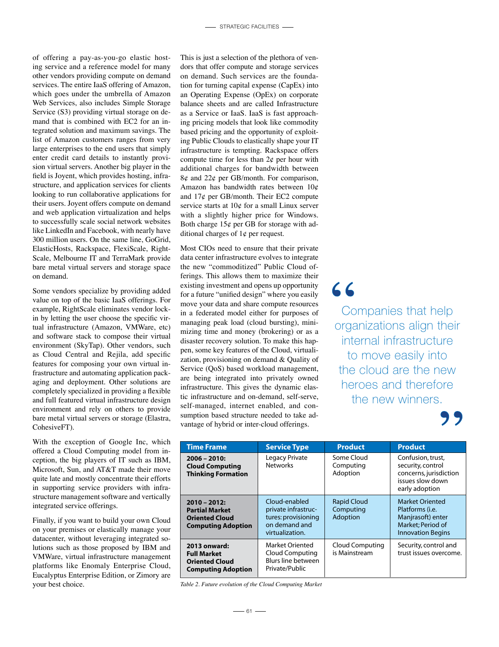of offering a pay-as-you-go elastic hosting service and a reference model for many other vendors providing compute on demand services. The entire IaaS offering of Amazon, which goes under the umbrella of Amazon Web Services, also includes Simple Storage Service (S3) providing virtual storage on demand that is combined with EC2 for an integrated solution and maximum savings. The list of Amazon customers ranges from very large enterprises to the end users that simply enter credit card details to instantly provision virtual servers. Another big player in the field is Joyent, which provides hosting, infrastructure, and application services for clients looking to run collaborative applications for their users. Joyent offers compute on demand and web application virtualization and helps to successfully scale social network websites like LinkedIn and Facebook, with nearly have 300 million users. On the same line, GoGrid, ElasticHosts, Rackspace, FlexiScale, Right-Scale, Melbourne IT and TerraMark provide bare metal virtual servers and storage space on demand.

Some vendors specialize by providing added value on top of the basic IaaS offerings. For example, RightScale eliminates vendor lockin by letting the user choose the specific virtual infrastructure (Amazon, VMWare, etc) and software stack to compose their virtual environment (SkyTap). Other vendors, such as Cloud Central and Rejila, add specific features for composing your own virtual infrastructure and automating application packaging and deployment. Other solutions are completely specialized in providing a flexible and full featured virtual infrastructure design environment and rely on others to provide bare metal virtual servers or storage (Elastra, CohesiveFT).

With the exception of Google Inc, which offered a Cloud Computing model from inception, the big players of IT such as IBM, Microsoft, Sun, and AT&T made their move quite late and mostly concentrate their efforts in supporting service providers with infrastructure management software and vertically integrated service offerings.

Finally, if you want to build your own Cloud on your premises or elastically manage your datacenter, without leveraging integrated solutions such as those proposed by IBM and VMWare, virtual infrastructure management platforms like Enomaly Enterprise Cloud, Eucalyptus Enterprise Edition, or Zimory are your best choice. *Table 2. Future evolution of the Cloud Computing Market*

This is just a selection of the plethora of vendors that offer compute and storage services on demand. Such services are the foundation for turning capital expense (CapEx) into an Operating Expense (OpEx) on corporate balance sheets and are called Infrastructure as a Service or IaaS. IaaS is fast approaching pricing models that look like commodity based pricing and the opportunity of exploiting Public Clouds to elastically shape your IT infrastructure is tempting. Rackspace offers compute time for less than  $2¢$  per hour with additional charges for bandwidth between  $8¢$  and  $22¢$  per GB/month. For comparison, Amazon has bandwidth rates between 10¢ and  $17¢$  per GB/month. Their EC2 compute service starts at 10¢ for a small Linux server with a slightly higher price for Windows. Both charge  $15¢$  per GB for storage with additional charges of  $1¢$  per request.

Most CIOs need to ensure that their private data center infrastructure evolves to integrate the new "commoditized" Public Cloud offerings. This allows them to maximize their existing investment and opens up opportunity for a future "unified design" where you easily move your data and share compute resources in a federated model either for purposes of managing peak load (cloud bursting), minimizing time and money (brokering) or as a disaster recovery solution. To make this happen, some key features of the Cloud, virtualization, provisioning on demand & Quality of Service (QoS) based workload management, are being integrated into privately owned infrastructure. This gives the dynamic elastic infrastructure and on-demand, self-serve, self-managed, internet enabled, and consumption based structure needed to take advantage of hybrid or inter-cloud offerings.

66 Companies that help organizations align their internal infrastructure to move easily into the cloud are the new heroes and therefore the new winners.



| <b>Time Frame</b>                                                                            | <b>Service Type</b>                                                                             | <b>Product</b>                              | <b>Product</b>                                                                                                          |
|----------------------------------------------------------------------------------------------|-------------------------------------------------------------------------------------------------|---------------------------------------------|-------------------------------------------------------------------------------------------------------------------------|
| $2006 - 2010$ :<br><b>Cloud Computing</b><br><b>Thinking Formation</b>                       | Legacy Private<br><b>Networks</b>                                                               | Some Cloud<br>Computing<br>Adoption         | Confusion, trust,<br>security, control<br>concerns, jurisdiction<br>issues slow down<br>early adoption                  |
| $2010 - 2012$<br><b>Partial Market</b><br><b>Oriented Cloud</b><br><b>Computing Adoption</b> | Cloud-enabled<br>private infrastruc-<br>tures: provisioning<br>on demand and<br>virtualization. | <b>Rapid Cloud</b><br>Computing<br>Adoption | <b>Market Oriented</b><br>Platforms ( <i>i.e.</i><br>Manjrasoft) enter<br>Market: Period of<br><b>Innovation Begins</b> |
| 2013 onward:<br><b>Full Market</b><br><b>Oriented Cloud</b><br><b>Computing Adoption</b>     | Market Oriented<br>Cloud Computing<br>Blurs line between<br>Private/Public                      | Cloud Computing<br>is Mainstream            | Security, control and<br>trust issues overcome.                                                                         |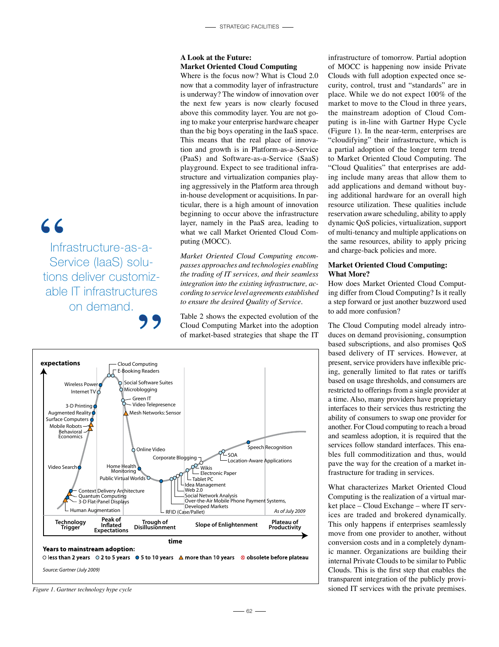#### **A Look at the Future: Market Oriented Cloud Computing**

Where is the focus now? What is Cloud 2.0 now that a commodity layer of infrastructure is underway? The window of innovation over the next few years is now clearly focused above this commodity layer. You are not going to make your enterprise hardware cheaper than the big boys operating in the IaaS space. This means that the real place of innovation and growth is in Platform-as-a-Service (PaaS) and Software-as-a-Service (SaaS) playground. Expect to see traditional infrastructure and virtualization companies playing aggressively in the Platform area through in-house development or acquisitions. In particular, there is a high amount of innovation beginning to occur above the infrastructure layer, namely in the PaaS area, leading to what we call Market Oriented Cloud Computing (MOCC).

*Market Oriented Cloud Computing encompasses approaches and technologies enabling the trading of IT services, and their seamless integration into the existing infrastructure, according to service level agreements established to ensure the desired Quality of Service.*

Table 2 shows the expected evolution of the Cloud Computing Market into the adoption of market-based strategies that shape the IT



infrastructure of tomorrow. Partial adoption of MOCC is happening now inside Private Clouds with full adoption expected once security, control, trust and "standards" are in place. While we do not expect 100% of the market to move to the Cloud in three years, the mainstream adoption of Cloud Computing is in-line with Gartner Hype Cycle (Figure 1). In the near-term, enterprises are "cloudifying" their infrastructure, which is a partial adoption of the longer term trend to Market Oriented Cloud Computing. The "Cloud Qualities" that enterprises are adding include many areas that allow them to add applications and demand without buying additional hardware for an overall high resource utilization. These qualities include reservation aware scheduling, ability to apply dynamic QoS policies, virtualization, support of multi-tenancy and multiple applications on the same resources, ability to apply pricing and charge-back policies and more.

#### **Market Oriented Cloud Computing: What More?**

How does Market Oriented Cloud Computing differ from Cloud Computing? Is it really a step forward or just another buzzword used to add more confusion?

The Cloud Computing model already introduces on demand provisioning, consumption based subscriptions, and also promises QoS based delivery of IT services. However, at present, service providers have inflexible pricing, generally limited to flat rates or tariffs based on usage thresholds, and consumers are restricted to offerings from a single provider at a time. Also, many providers have proprietary interfaces to their services thus restricting the ability of consumers to swap one provider for another. For Cloud computing to reach a broad and seamless adoption, it is required that the services follow standard interfaces. This enables full commoditization and thus, would pave the way for the creation of a market infrastructure for trading in services.

What characterizes Market Oriented Cloud Computing is the realization of a virtual market place – Cloud Exchange – where IT services are traded and brokered dynamically. This only happens if enterprises seamlessly move from one provider to another, without conversion costs and in a completely dynamic manner. Organizations are building their internal Private Clouds to be similar to Public Clouds. This is the first step that enables the transparent integration of the publicly provi-*Figure 1. Gartner technology hype cycle* sioned IT services with the private premises.

## 66

Infrastructure-as-a-Service (IaaS) solutions deliver customizable IT infrastructures on demand.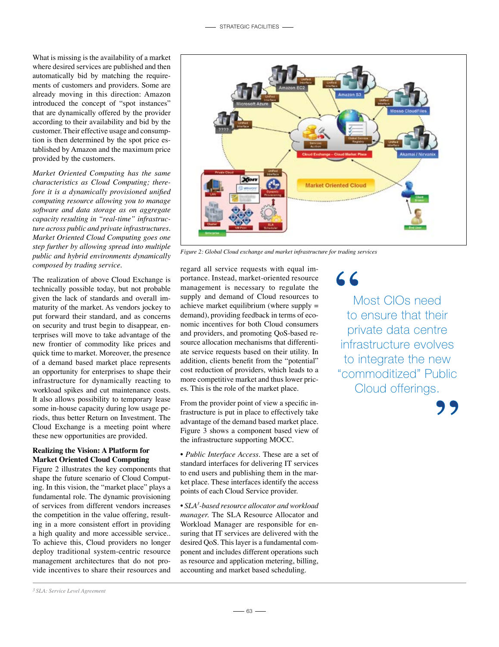What is missing is the availability of a market where desired services are published and then automatically bid by matching the requirements of customers and providers. Some are already moving in this direction: Amazon introduced the concept of "spot instances" that are dynamically offered by the provider according to their availability and bid by the customer. Their effective usage and consumption is then determined by the spot price established by Amazon and the maximum price provided by the customers.

*Market Oriented Computing has the same characteristics as Cloud Computing; therefore it is a dynamically provisioned unified computing resource allowing you to manage software and data storage as on aggregate capacity resulting in "real-time" infrastructure across public and private infrastructures. Market Oriented Cloud Computing goes one step further by allowing spread into multiple public and hybrid environments dynamically composed by trading service.*

The realization of above Cloud Exchange is technically possible today, but not probable given the lack of standards and overall immaturity of the market. As vendors jockey to put forward their standard, and as concerns on security and trust begin to disappear, enterprises will move to take advantage of the new frontier of commodity like prices and quick time to market. Moreover, the presence of a demand based market place represents an opportunity for enterprises to shape their infrastructure for dynamically reacting to workload spikes and cut maintenance costs. It also allows possibility to temporary lease some in-house capacity during low usage periods, thus better Return on Investment. The Cloud Exchange is a meeting point where these new opportunities are provided.

#### **Realizing the Vision: A Platform for Market Oriented Cloud Computing**

Figure 2 illustrates the key components that shape the future scenario of Cloud Computing. In this vision, the "market place" plays a fundamental role. The dynamic provisioning of services from different vendors increases the competition in the value offering, resulting in a more consistent effort in providing a high quality and more accessible service.. To achieve this, Cloud providers no longer deploy traditional system-centric resource management architectures that do not provide incentives to share their resources and



*Figure 2: Global Cloud exchange and market infrastructure for trading services*

regard all service requests with equal importance. Instead, market-oriented resource management is necessary to regulate the supply and demand of Cloud resources to achieve market equilibrium (where supply = demand), providing feedback in terms of economic incentives for both Cloud consumers and providers, and promoting QoS-based resource allocation mechanisms that differentiate service requests based on their utility. In addition, clients benefit from the "potential" cost reduction of providers, which leads to a more competitive market and thus lower prices. This is the role of the market place.

From the provider point of view a specific infrastructure is put in place to effectively take advantage of the demand based market place. Figure 3 shows a component based view of the infrastructure supporting MOCC.

• *Public Interface Access.* These are a set of standard interfaces for delivering IT services to end users and publishing them in the market place. These interfaces identify the access points of each Cloud Service provider.

• *SLA3 -based resource allocator and workload manager.* The SLA Resource Allocator and Workload Manager are responsible for ensuring that IT services are delivered with the desired QoS. This layer is a fundamental component and includes different operations such as resource and application metering, billing, accounting and market based scheduling.

 $66$ 

Most CIOs need to ensure that their private data centre infrastructure evolves to integrate the new "commoditized" Public Cloud offerings.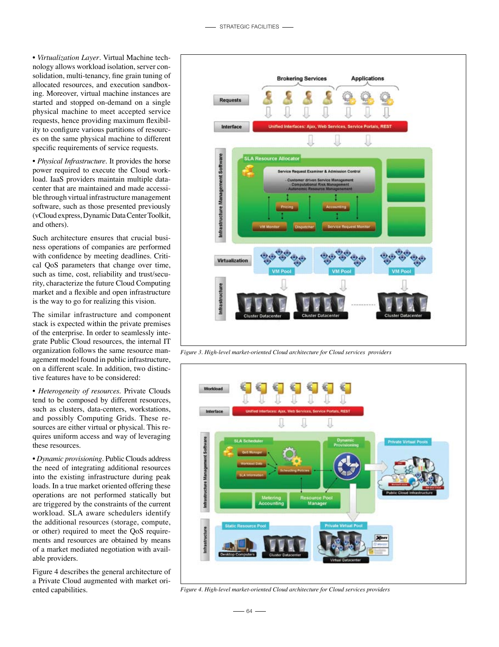• *Virtualization Layer*. Virtual Machine technology allows workload isolation, server consolidation, multi-tenancy, fine grain tuning of allocated resources, and execution sandboxing. Moreover, virtual machine instances are started and stopped on-demand on a single physical machine to meet accepted service requests, hence providing maximum flexibility to configure various partitions of resources on the same physical machine to different specific requirements of service requests.

• *Physical Infrastructure*. It provides the horse power required to execute the Cloud workload. IaaS providers maintain multiple datacenter that are maintained and made accessible through virtual infrastructure management software, such as those presented previously (vCloud express, Dynamic Data Center Toolkit, and others).

Such architecture ensures that crucial business operations of companies are performed with confidence by meeting deadlines. Critical QoS parameters that change over time, such as time, cost, reliability and trust/security, characterize the future Cloud Computing market and a flexible and open infrastructure is the way to go for realizing this vision.

The similar infrastructure and component stack is expected within the private premises of the enterprise. In order to seamlessly integrate Public Cloud resources, the internal IT organization follows the same resource management model found in public infrastructure, on a different scale. In addition, two distinctive features have to be considered:

• *Heterogeneity of resources.* Private Clouds tend to be composed by different resources, such as clusters, data-centers, workstations, and possibly Computing Grids. These resources are either virtual or physical. This requires uniform access and way of leveraging these resources.

• *Dynamic provisioning.* Public Clouds address the need of integrating additional resources into the existing infrastructure during peak loads. In a true market oriented offering these operations are not performed statically but are triggered by the constraints of the current workload. SLA aware schedulers identify the additional resources (storage, compute, or other) required to meet the QoS requirements and resources are obtained by means of a market mediated negotiation with available providers.

Figure 4 describes the general architecture of a Private Cloud augmented with market oriented capabilities.



*Figure 3. High-level market-oriented Cloud architecture for Cloud services providers*



*Figure 4. High-level market-oriented Cloud architecture for Cloud services providers*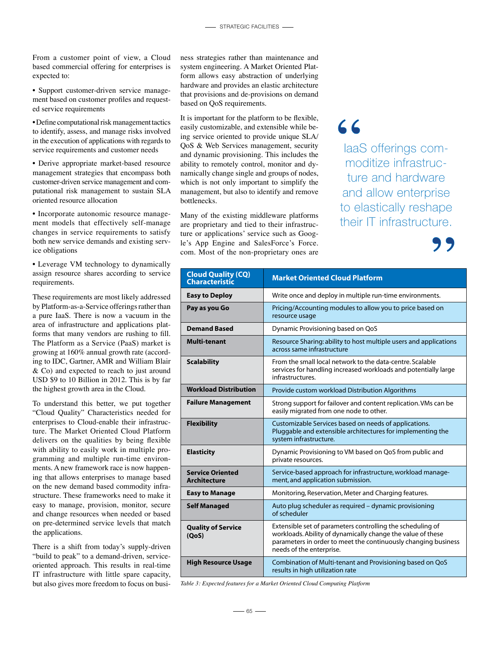From a customer point of view, a Cloud based commercial offering for enterprises is expected to:

• Support customer-driven service management based on customer profiles and requested service requirements

• Define computational risk management tactics to identify, assess, and manage risks involved in the execution of applications with regards to service requirements and customer needs

• Derive appropriate market-based resource management strategies that encompass both customer-driven service management and computational risk management to sustain SLA oriented resource allocation

• Incorporate autonomic resource management models that effectively self-manage changes in service requirements to satisfy both new service demands and existing service obligations

• Leverage VM technology to dynamically assign resource shares according to service requirements.

These requirements are most likely addressed by Platform-as-a-Service offerings rather than a pure IaaS. There is now a vacuum in the area of infrastructure and applications platforms that many vendors are rushing to fill. The Platform as a Service (PaaS) market is growing at 160% annual growth rate (according to IDC, Gartner, AMR and William Blair & Co) and expected to reach to just around USD \$9 to 10 Billion in 2012. This is by far the highest growth area in the Cloud.

To understand this better, we put together "Cloud Quality" Characteristics needed for enterprises to Cloud-enable their infrastructure. The Market Oriented Cloud Platform delivers on the qualities by being flexible with ability to easily work in multiple programming and multiple run-time environments. A new framework race is now happening that allows enterprises to manage based on the new demand based commodity infrastructure. These frameworks need to make it easy to manage, provision, monitor, secure and change resources when needed or based on pre-determined service levels that match the applications.

There is a shift from today's supply-driven "build to peak" to a demand-driven, serviceoriented approach. This results in real-time IT infrastructure with little spare capacity, but also gives more freedom to focus on business strategies rather than maintenance and system engineering. A Market Oriented Platform allows easy abstraction of underlying hardware and provides an elastic architecture that provisions and de-provisions on demand based on QoS requirements.

It is important for the platform to be flexible, easily customizable, and extensible while being service oriented to provide unique SLA/ QoS & Web Services management, security and dynamic provisioning. This includes the ability to remotely control, monitor and dynamically change single and groups of nodes, which is not only important to simplify the management, but also to identify and remove bottlenecks.

Many of the existing middleware platforms are proprietary and tied to their infrastructure or applications' service such as Google's App Engine and SalesForce's Force. com. Most of the non-proprietary ones are

66

IaaS offerings commoditize infrastructure and hardware and allow enterprise to elastically reshape their IT infrastructure.

| <b>Cloud Quality (CQ)</b><br><b>Characteristic</b> | <b>Market Oriented Cloud Platform</b>                                                                                                                                                                                   |  |
|----------------------------------------------------|-------------------------------------------------------------------------------------------------------------------------------------------------------------------------------------------------------------------------|--|
| <b>Easy to Deploy</b>                              | Write once and deploy in multiple run-time environments.                                                                                                                                                                |  |
| Pay as you Go                                      | Pricing/Accounting modules to allow you to price based on<br>resource usage                                                                                                                                             |  |
| <b>Demand Based</b>                                | Dynamic Provisioning based on QoS                                                                                                                                                                                       |  |
| <b>Multi-tenant</b>                                | Resource Sharing: ability to host multiple users and applications<br>across same infrastructure                                                                                                                         |  |
| <b>Scalability</b>                                 | From the small local network to the data-centre. Scalable<br>services for handling increased workloads and potentially large<br>infrastructures.                                                                        |  |
| <b>Workload Distribution</b>                       | Provide custom workload Distribution Algorithms                                                                                                                                                                         |  |
| <b>Failure Management</b>                          | Strong support for failover and content replication. VMs can be<br>easily migrated from one node to other.                                                                                                              |  |
| <b>Flexibility</b>                                 | Customizable Services based on needs of applications.<br>Pluggable and extensible architectures for implementing the<br>system infrastructure.                                                                          |  |
| <b>Elasticity</b>                                  | Dynamic Provisioning to VM based on QoS from public and<br>private resources.                                                                                                                                           |  |
| <b>Service Oriented</b><br><b>Architecture</b>     | Service-based approach for infrastructure, workload manage-<br>ment, and application submission.                                                                                                                        |  |
| <b>Easy to Manage</b>                              | Monitoring, Reservation, Meter and Charging features.                                                                                                                                                                   |  |
| <b>Self Managed</b>                                | Auto plug scheduler as required - dynamic provisioning<br>of scheduler                                                                                                                                                  |  |
| <b>Quality of Service</b><br>(QoS)                 | Extensible set of parameters controlling the scheduling of<br>workloads. Ability of dynamically change the value of these<br>parameters in order to meet the continuously changing business<br>needs of the enterprise. |  |
| <b>High Resource Usage</b>                         | Combination of Multi-tenant and Provisioning based on QoS<br>results in high utilization rate                                                                                                                           |  |

*Table 3: Expected features for a Market Oriented Cloud Computing Platform*